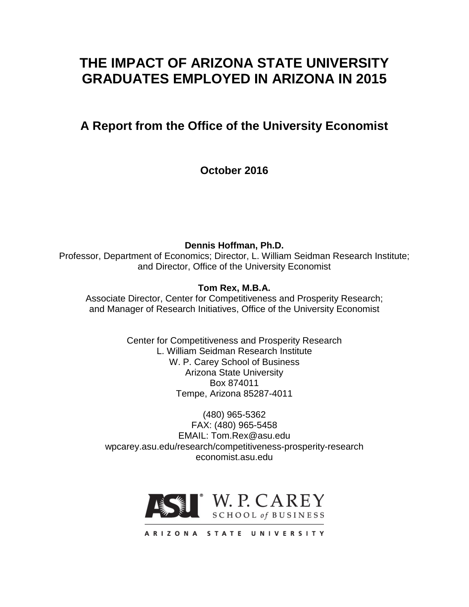# **THE IMPACT OF ARIZONA STATE UNIVERSITY GRADUATES EMPLOYED IN ARIZONA IN 2015**

**A Report from the Office of the University Economist**

**October 2016**

**Dennis Hoffman, Ph.D.** Professor, Department of Economics; Director, L. William Seidman Research Institute; and Director, Office of the University Economist

**Tom Rex, M.B.A.**

Associate Director, Center for Competitiveness and Prosperity Research; and Manager of Research Initiatives, Office of the University Economist

> Center for Competitiveness and Prosperity Research L. William Seidman Research Institute W. P. Carey School of Business Arizona State University Box 874011 Tempe, Arizona 85287-4011

(480) 965-5362 FAX: (480) 965-5458 EMAIL: Tom.Rex@asu.edu wpcarey.asu.edu/research/competitiveness-prosperity-research economist.asu.edu

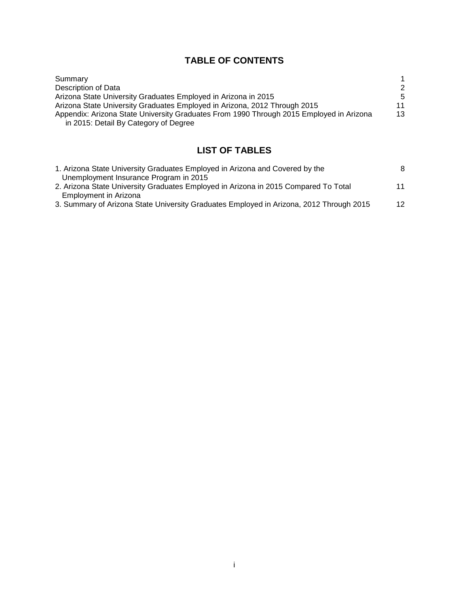# **TABLE OF CONTENTS**

| Summary                                                                                 |    |
|-----------------------------------------------------------------------------------------|----|
| Description of Data                                                                     | 2  |
| Arizona State University Graduates Employed in Arizona in 2015                          | -5 |
| Arizona State University Graduates Employed in Arizona, 2012 Through 2015               | 11 |
| Appendix: Arizona State University Graduates From 1990 Through 2015 Employed in Arizona | 13 |
| in 2015: Detail By Category of Degree                                                   |    |

# **LIST OF TABLES**

| 1. Arizona State University Graduates Employed in Arizona and Covered by the            | 8               |
|-----------------------------------------------------------------------------------------|-----------------|
| Unemployment Insurance Program in 2015                                                  |                 |
| 2. Arizona State University Graduates Employed in Arizona in 2015 Compared To Total     | 11              |
| Employment in Arizona                                                                   |                 |
| 3. Summary of Arizona State University Graduates Employed in Arizona, 2012 Through 2015 | 12 <sup>°</sup> |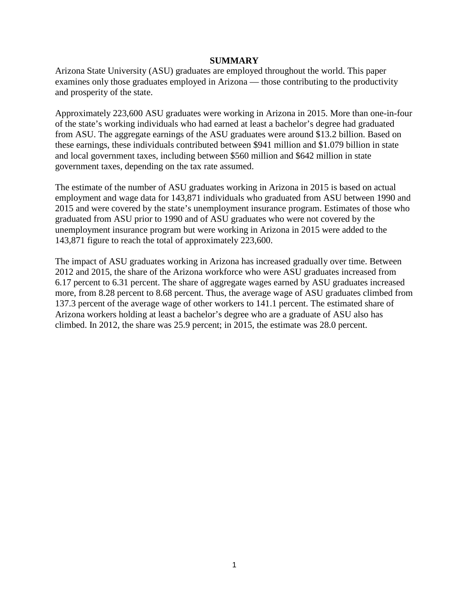#### **SUMMARY**

Arizona State University (ASU) graduates are employed throughout the world. This paper examines only those graduates employed in Arizona — those contributing to the productivity and prosperity of the state.

Approximately 223,600 ASU graduates were working in Arizona in 2015. More than one-in-four of the state's working individuals who had earned at least a bachelor's degree had graduated from ASU. The aggregate earnings of the ASU graduates were around \$13.2 billion. Based on these earnings, these individuals contributed between \$941 million and \$1.079 billion in state and local government taxes, including between \$560 million and \$642 million in state government taxes, depending on the tax rate assumed.

The estimate of the number of ASU graduates working in Arizona in 2015 is based on actual employment and wage data for 143,871 individuals who graduated from ASU between 1990 and 2015 and were covered by the state's unemployment insurance program. Estimates of those who graduated from ASU prior to 1990 and of ASU graduates who were not covered by the unemployment insurance program but were working in Arizona in 2015 were added to the 143,871 figure to reach the total of approximately 223,600.

The impact of ASU graduates working in Arizona has increased gradually over time. Between 2012 and 2015, the share of the Arizona workforce who were ASU graduates increased from 6.17 percent to 6.31 percent. The share of aggregate wages earned by ASU graduates increased more, from 8.28 percent to 8.68 percent. Thus, the average wage of ASU graduates climbed from 137.3 percent of the average wage of other workers to 141.1 percent. The estimated share of Arizona workers holding at least a bachelor's degree who are a graduate of ASU also has climbed. In 2012, the share was 25.9 percent; in 2015, the estimate was 28.0 percent.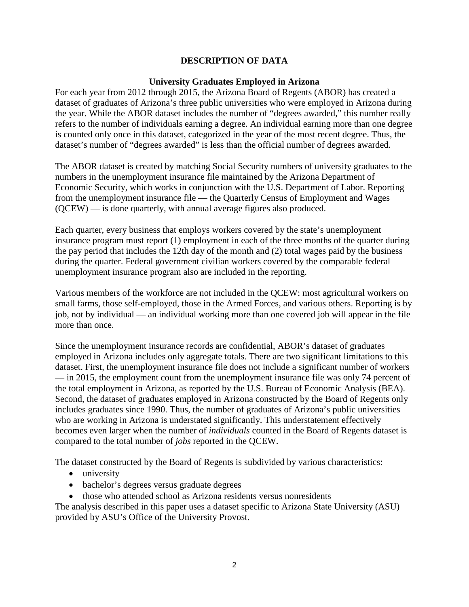# **DESCRIPTION OF DATA**

#### **University Graduates Employed in Arizona**

For each year from 2012 through 2015, the Arizona Board of Regents (ABOR) has created a dataset of graduates of Arizona's three public universities who were employed in Arizona during the year. While the ABOR dataset includes the number of "degrees awarded," this number really refers to the number of individuals earning a degree. An individual earning more than one degree is counted only once in this dataset, categorized in the year of the most recent degree. Thus, the dataset's number of "degrees awarded" is less than the official number of degrees awarded.

The ABOR dataset is created by matching Social Security numbers of university graduates to the numbers in the unemployment insurance file maintained by the Arizona Department of Economic Security, which works in conjunction with the U.S. Department of Labor. Reporting from the unemployment insurance file — the Quarterly Census of Employment and Wages (QCEW) — is done quarterly, with annual average figures also produced.

Each quarter, every business that employs workers covered by the state's unemployment insurance program must report (1) employment in each of the three months of the quarter during the pay period that includes the 12th day of the month and (2) total wages paid by the business during the quarter. Federal government civilian workers covered by the comparable federal unemployment insurance program also are included in the reporting.

Various members of the workforce are not included in the QCEW: most agricultural workers on small farms, those self-employed, those in the Armed Forces, and various others. Reporting is by job, not by individual — an individual working more than one covered job will appear in the file more than once.

Since the unemployment insurance records are confidential, ABOR's dataset of graduates employed in Arizona includes only aggregate totals. There are two significant limitations to this dataset. First, the unemployment insurance file does not include a significant number of workers — in 2015, the employment count from the unemployment insurance file was only 74 percent of the total employment in Arizona, as reported by the U.S. Bureau of Economic Analysis (BEA). Second, the dataset of graduates employed in Arizona constructed by the Board of Regents only includes graduates since 1990. Thus, the number of graduates of Arizona's public universities who are working in Arizona is understated significantly. This understatement effectively becomes even larger when the number of *individuals* counted in the Board of Regents dataset is compared to the total number of *jobs* reported in the QCEW.

The dataset constructed by the Board of Regents is subdivided by various characteristics:

- university
- bachelor's degrees versus graduate degrees
- those who attended school as Arizona residents versus nonresidents

The analysis described in this paper uses a dataset specific to Arizona State University (ASU) provided by ASU's Office of the University Provost.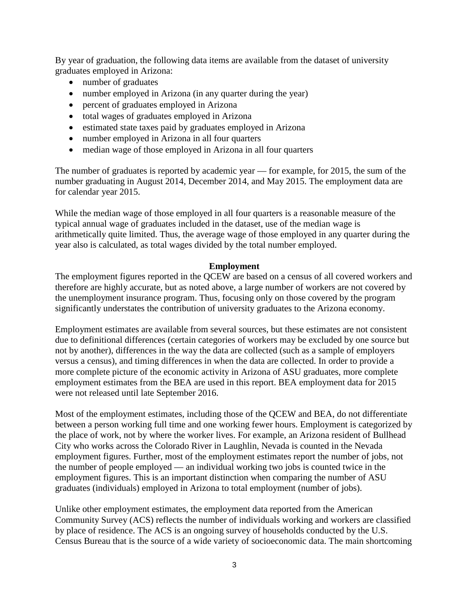By year of graduation, the following data items are available from the dataset of university graduates employed in Arizona:

- number of graduates
- number employed in Arizona (in any quarter during the year)
- percent of graduates employed in Arizona
- total wages of graduates employed in Arizona
- estimated state taxes paid by graduates employed in Arizona
- number employed in Arizona in all four quarters
- median wage of those employed in Arizona in all four quarters

The number of graduates is reported by academic year — for example, for 2015, the sum of the number graduating in August 2014, December 2014, and May 2015. The employment data are for calendar year 2015.

While the median wage of those employed in all four quarters is a reasonable measure of the typical annual wage of graduates included in the dataset, use of the median wage is arithmetically quite limited. Thus, the average wage of those employed in any quarter during the year also is calculated, as total wages divided by the total number employed.

#### **Employment**

The employment figures reported in the QCEW are based on a census of all covered workers and therefore are highly accurate, but as noted above, a large number of workers are not covered by the unemployment insurance program. Thus, focusing only on those covered by the program significantly understates the contribution of university graduates to the Arizona economy.

Employment estimates are available from several sources, but these estimates are not consistent due to definitional differences (certain categories of workers may be excluded by one source but not by another), differences in the way the data are collected (such as a sample of employers versus a census), and timing differences in when the data are collected. In order to provide a more complete picture of the economic activity in Arizona of ASU graduates, more complete employment estimates from the BEA are used in this report. BEA employment data for 2015 were not released until late September 2016.

Most of the employment estimates, including those of the QCEW and BEA, do not differentiate between a person working full time and one working fewer hours. Employment is categorized by the place of work, not by where the worker lives. For example, an Arizona resident of Bullhead City who works across the Colorado River in Laughlin, Nevada is counted in the Nevada employment figures. Further, most of the employment estimates report the number of jobs, not the number of people employed — an individual working two jobs is counted twice in the employment figures. This is an important distinction when comparing the number of ASU graduates (individuals) employed in Arizona to total employment (number of jobs).

Unlike other employment estimates, the employment data reported from the American Community Survey (ACS) reflects the number of individuals working and workers are classified by place of residence. The ACS is an ongoing survey of households conducted by the U.S. Census Bureau that is the source of a wide variety of socioeconomic data. The main shortcoming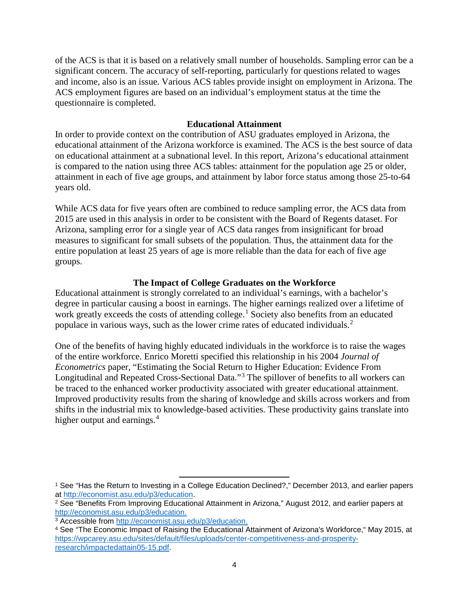of the ACS is that it is based on a relatively small number of households. Sampling error can be a significant concern. The accuracy of self-reporting, particularly for questions related to wages and income, also is an issue. Various ACS tables provide insight on employment in Arizona. The ACS employment figures are based on an individual's employment status at the time the questionnaire is completed.

# **Educational Attainment**

In order to provide context on the contribution of ASU graduates employed in Arizona, the educational attainment of the Arizona workforce is examined. The ACS is the best source of data on educational attainment at a subnational level. In this report, Arizona's educational attainment is compared to the nation using three ACS tables: attainment for the population age 25 or older, attainment in each of five age groups, and attainment by labor force status among those 25-to-64 years old.

While ACS data for five years often are combined to reduce sampling error, the ACS data from 2015 are used in this analysis in order to be consistent with the Board of Regents dataset. For Arizona, sampling error for a single year of ACS data ranges from insignificant for broad measures to significant for small subsets of the population. Thus, the attainment data for the entire population at least 25 years of age is more reliable than the data for each of five age groups.

# **The Impact of College Graduates on the Workforce**

Educational attainment is strongly correlated to an individual's earnings, with a bachelor's degree in particular causing a boost in earnings. The higher earnings realized over a lifetime of work greatly exceeds the costs of attending college.<sup>[1](#page-5-0)</sup> Society also benefits from an educated populace in various ways, such as the lower crime rates of educated individuals.[2](#page-5-1)

One of the benefits of having highly educated individuals in the workforce is to raise the wages of the entire workforce. Enrico Moretti specified this relationship in his 2004 *Journal of Econometrics* paper, "Estimating the Social Return to Higher Education: Evidence From Longitudinal and Repeated Cross-Sectional Data."[3](#page-5-2) The spillover of benefits to all workers can be traced to the enhanced worker productivity associated with greater educational attainment. Improved productivity results from the sharing of knowledge and skills across workers and from shifts in the industrial mix to knowledge-based activities. These productivity gains translate into higher output and earnings.<sup>[4](#page-5-3)</sup>

 $\overline{\phantom{a}}$ 

<span id="page-5-0"></span><sup>1</sup> See "Has the Return to Investing in a College Education Declined?," December 2013, and earlier papers at [http://economist.asu.edu/p3/education.](http://economist.asu.edu/p3/education)

<span id="page-5-1"></span><sup>2</sup> See "Benefits From Improving Educational Attainment in Arizona," August 2012, and earlier papers at [http://economist.asu.edu/p3/education.](http://economist.asu.edu/p3/education)

<span id="page-5-2"></span><sup>3</sup> Accessible from [http://economist.asu.edu/p3/education.](http://economist.asu.edu/p3/education)

<span id="page-5-3"></span><sup>4</sup> See "The Economic Impact of Raising the Educational Attainment of Arizona's Workforce," May 2015, at [https://wpcarey.asu.edu/sites/default/files/uploads/center-competitiveness-and-prosperity](https://wpcarey.asu.edu/sites/default/files/uploads/center-competitiveness-and-prosperity-research/impactedattain05-15.pdf)[research/impactedattain05-15.pdf.](https://wpcarey.asu.edu/sites/default/files/uploads/center-competitiveness-and-prosperity-research/impactedattain05-15.pdf)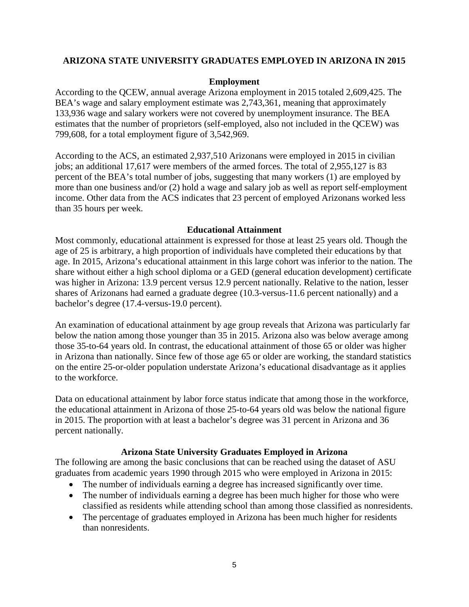# **ARIZONA STATE UNIVERSITY GRADUATES EMPLOYED IN ARIZONA IN 2015**

#### **Employment**

According to the QCEW, annual average Arizona employment in 2015 totaled 2,609,425. The BEA's wage and salary employment estimate was 2,743,361, meaning that approximately 133,936 wage and salary workers were not covered by unemployment insurance. The BEA estimates that the number of proprietors (self-employed, also not included in the QCEW) was 799,608, for a total employment figure of 3,542,969.

According to the ACS, an estimated 2,937,510 Arizonans were employed in 2015 in civilian jobs; an additional 17,617 were members of the armed forces. The total of 2,955,127 is 83 percent of the BEA's total number of jobs, suggesting that many workers (1) are employed by more than one business and/or (2) hold a wage and salary job as well as report self-employment income. Other data from the ACS indicates that 23 percent of employed Arizonans worked less than 35 hours per week.

#### **Educational Attainment**

Most commonly, educational attainment is expressed for those at least 25 years old. Though the age of 25 is arbitrary, a high proportion of individuals have completed their educations by that age. In 2015, Arizona's educational attainment in this large cohort was inferior to the nation. The share without either a high school diploma or a GED (general education development) certificate was higher in Arizona: 13.9 percent versus 12.9 percent nationally. Relative to the nation, lesser shares of Arizonans had earned a graduate degree (10.3-versus-11.6 percent nationally) and a bachelor's degree (17.4-versus-19.0 percent).

An examination of educational attainment by age group reveals that Arizona was particularly far below the nation among those younger than 35 in 2015. Arizona also was below average among those 35-to-64 years old. In contrast, the educational attainment of those 65 or older was higher in Arizona than nationally. Since few of those age 65 or older are working, the standard statistics on the entire 25-or-older population understate Arizona's educational disadvantage as it applies to the workforce.

Data on educational attainment by labor force status indicate that among those in the workforce, the educational attainment in Arizona of those 25-to-64 years old was below the national figure in 2015. The proportion with at least a bachelor's degree was 31 percent in Arizona and 36 percent nationally.

### **Arizona State University Graduates Employed in Arizona**

The following are among the basic conclusions that can be reached using the dataset of ASU graduates from academic years 1990 through 2015 who were employed in Arizona in 2015:

- The number of individuals earning a degree has increased significantly over time.
- The number of individuals earning a degree has been much higher for those who were classified as residents while attending school than among those classified as nonresidents.
- The percentage of graduates employed in Arizona has been much higher for residents than nonresidents.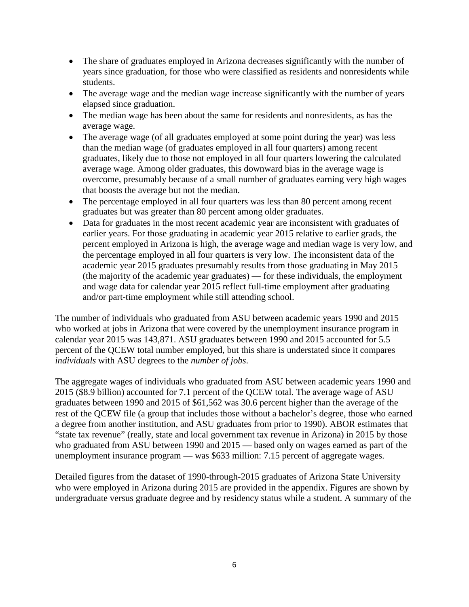- The share of graduates employed in Arizona decreases significantly with the number of years since graduation, for those who were classified as residents and nonresidents while students.
- The average wage and the median wage increase significantly with the number of years elapsed since graduation.
- The median wage has been about the same for residents and nonresidents, as has the average wage.
- The average wage (of all graduates employed at some point during the year) was less than the median wage (of graduates employed in all four quarters) among recent graduates, likely due to those not employed in all four quarters lowering the calculated average wage. Among older graduates, this downward bias in the average wage is overcome, presumably because of a small number of graduates earning very high wages that boosts the average but not the median.
- The percentage employed in all four quarters was less than 80 percent among recent graduates but was greater than 80 percent among older graduates.
- Data for graduates in the most recent academic year are inconsistent with graduates of earlier years. For those graduating in academic year 2015 relative to earlier grads, the percent employed in Arizona is high, the average wage and median wage is very low, and the percentage employed in all four quarters is very low. The inconsistent data of the academic year 2015 graduates presumably results from those graduating in May 2015 (the majority of the academic year graduates) — for these individuals, the employment and wage data for calendar year 2015 reflect full-time employment after graduating and/or part-time employment while still attending school.

The number of individuals who graduated from ASU between academic years 1990 and 2015 who worked at jobs in Arizona that were covered by the unemployment insurance program in calendar year 2015 was 143,871. ASU graduates between 1990 and 2015 accounted for 5.5 percent of the QCEW total number employed, but this share is understated since it compares *individuals* with ASU degrees to the *number of jobs*.

The aggregate wages of individuals who graduated from ASU between academic years 1990 and 2015 (\$8.9 billion) accounted for 7.1 percent of the QCEW total. The average wage of ASU graduates between 1990 and 2015 of \$61,562 was 30.6 percent higher than the average of the rest of the QCEW file (a group that includes those without a bachelor's degree, those who earned a degree from another institution, and ASU graduates from prior to 1990). ABOR estimates that "state tax revenue" (really, state and local government tax revenue in Arizona) in 2015 by those who graduated from ASU between 1990 and 2015 — based only on wages earned as part of the unemployment insurance program — was \$633 million: 7.15 percent of aggregate wages.

Detailed figures from the dataset of 1990-through-2015 graduates of Arizona State University who were employed in Arizona during 2015 are provided in the appendix. Figures are shown by undergraduate versus graduate degree and by residency status while a student. A summary of the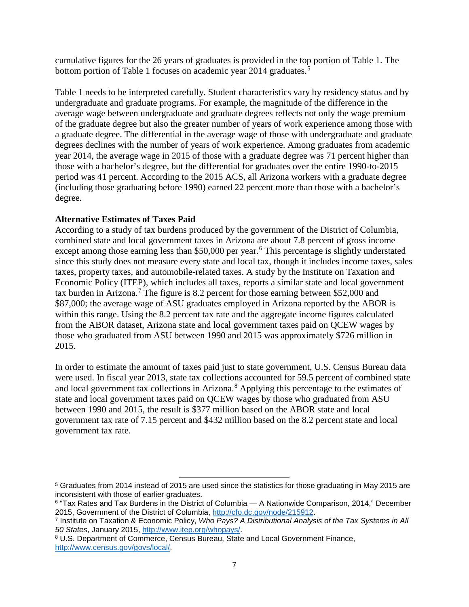cumulative figures for the 26 years of graduates is provided in the top portion of Table 1. The bottom portion of Table 1 focuses on academic year 2014 graduates.<sup>[5](#page-8-0)</sup>

Table 1 needs to be interpreted carefully. Student characteristics vary by residency status and by undergraduate and graduate programs. For example, the magnitude of the difference in the average wage between undergraduate and graduate degrees reflects not only the wage premium of the graduate degree but also the greater number of years of work experience among those with a graduate degree. The differential in the average wage of those with undergraduate and graduate degrees declines with the number of years of work experience. Among graduates from academic year 2014, the average wage in 2015 of those with a graduate degree was 71 percent higher than those with a bachelor's degree, but the differential for graduates over the entire 1990-to-2015 period was 41 percent. According to the 2015 ACS, all Arizona workers with a graduate degree (including those graduating before 1990) earned 22 percent more than those with a bachelor's degree.

# **Alternative Estimates of Taxes Paid**

According to a study of tax burdens produced by the government of the District of Columbia, combined state and local government taxes in Arizona are about 7.8 percent of gross income except among those earning less than \$50,000 per year.<sup>[6](#page-8-1)</sup> This percentage is slightly understated since this study does not measure every state and local tax, though it includes income taxes, sales taxes, property taxes, and automobile-related taxes. A study by the Institute on Taxation and Economic Policy (ITEP), which includes all taxes, reports a similar state and local government tax burden in Arizona. [7](#page-8-2) The figure is 8.2 percent for those earning between \$52,000 and \$87,000; the average wage of ASU graduates employed in Arizona reported by the ABOR is within this range. Using the 8.2 percent tax rate and the aggregate income figures calculated from the ABOR dataset, Arizona state and local government taxes paid on QCEW wages by those who graduated from ASU between 1990 and 2015 was approximately \$726 million in 2015.

In order to estimate the amount of taxes paid just to state government, U.S. Census Bureau data were used. In fiscal year 2013, state tax collections accounted for 59.5 percent of combined state and local government tax collections in Arizona. [8](#page-8-3) Applying this percentage to the estimates of state and local government taxes paid on QCEW wages by those who graduated from ASU between 1990 and 2015, the result is \$377 million based on the ABOR state and local government tax rate of 7.15 percent and \$432 million based on the 8.2 percent state and local government tax rate.

 $\overline{\phantom{a}}$ 

<span id="page-8-0"></span><sup>5</sup> Graduates from 2014 instead of 2015 are used since the statistics for those graduating in May 2015 are inconsistent with those of earlier graduates.

<span id="page-8-1"></span><sup>6</sup> "Tax Rates and Tax Burdens in the District of Columbia — A Nationwide Comparison, 2014," December 2015, Government of the District of Columbia, [http://cfo.dc.gov/node/215912.](http://cfo.dc.gov/node/215912)

<span id="page-8-2"></span><sup>7</sup> Institute on Taxation & Economic Policy, *Who Pays? A Distributional Analysis of the Tax Systems in All 50 States*, January 2015, [http://www.itep.org/whopays/.](http://www.itep.org/whopays/)

<span id="page-8-3"></span><sup>8</sup> U.S. Department of Commerce, Census Bureau, State and Local Government Finance, [http://www.census.gov/govs/local/.](http://www.census.gov/govs/local/)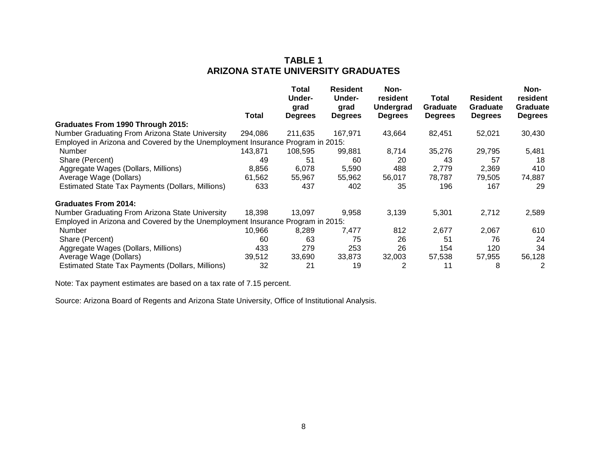# **TABLE 1 ARIZONA STATE UNIVERSITY GRADUATES**

|                                                                                | Total   | Total<br>Under-<br>grad<br><b>Degrees</b> | <b>Resident</b><br>Under-<br>grad<br><b>Degrees</b> | Non-<br>resident<br><b>Undergrad</b><br><b>Degrees</b> | Total<br>Graduate<br><b>Degrees</b> | <b>Resident</b><br>Graduate<br><b>Degrees</b> | Non-<br>resident<br><b>Graduate</b><br><b>Degrees</b> |
|--------------------------------------------------------------------------------|---------|-------------------------------------------|-----------------------------------------------------|--------------------------------------------------------|-------------------------------------|-----------------------------------------------|-------------------------------------------------------|
| Graduates From 1990 Through 2015:                                              |         |                                           |                                                     |                                                        |                                     |                                               |                                                       |
| Number Graduating From Arizona State University                                | 294.086 | 211,635                                   | 167,971                                             | 43,664                                                 | 82,451                              | 52,021                                        | 30,430                                                |
| Employed in Arizona and Covered by the Unemployment Insurance Program in 2015: |         |                                           |                                                     |                                                        |                                     |                                               |                                                       |
| <b>Number</b>                                                                  | 143,871 | 108,595                                   | 99,881                                              | 8,714                                                  | 35,276                              | 29,795                                        | 5,481                                                 |
| Share (Percent)                                                                | 49      | 51                                        | 60                                                  | 20                                                     | 43                                  | 57                                            | 18                                                    |
| Aggregate Wages (Dollars, Millions)                                            | 8,856   | 6,078                                     | 5,590                                               | 488                                                    | 2,779                               | 2,369                                         | 410                                                   |
| Average Wage (Dollars)                                                         | 61,562  | 55,967                                    | 55,962                                              | 56,017                                                 | 78,787                              | 79,505                                        | 74,887                                                |
| Estimated State Tax Payments (Dollars, Millions)                               | 633     | 437                                       | 402                                                 | 35                                                     | 196                                 | 167                                           | 29                                                    |
| <b>Graduates From 2014:</b>                                                    |         |                                           |                                                     |                                                        |                                     |                                               |                                                       |
| Number Graduating From Arizona State University                                | 18,398  | 13,097                                    | 9,958                                               | 3,139                                                  | 5,301                               | 2,712                                         | 2,589                                                 |
| Employed in Arizona and Covered by the Unemployment Insurance Program in 2015: |         |                                           |                                                     |                                                        |                                     |                                               |                                                       |
| <b>Number</b>                                                                  | 10.966  | 8,289                                     | 7,477                                               | 812                                                    | 2,677                               | 2,067                                         | 610                                                   |
| Share (Percent)                                                                | 60      | 63                                        | 75                                                  | 26                                                     | 51                                  | 76                                            | 24                                                    |
| Aggregate Wages (Dollars, Millions)                                            | 433     | 279                                       | 253                                                 | 26                                                     | 154                                 | 120                                           | 34                                                    |
| Average Wage (Dollars)                                                         | 39,512  | 33,690                                    | 33,873                                              | 32,003                                                 | 57,538                              | 57,955                                        | 56,128                                                |
| Estimated State Tax Payments (Dollars, Millions)                               | 32      | 21                                        | 19                                                  | 2                                                      | 11                                  | 8                                             | 2                                                     |

Note: Tax payment estimates are based on a tax rate of 7.15 percent.

Source: Arizona Board of Regents and Arizona State University, Office of Institutional Analysis.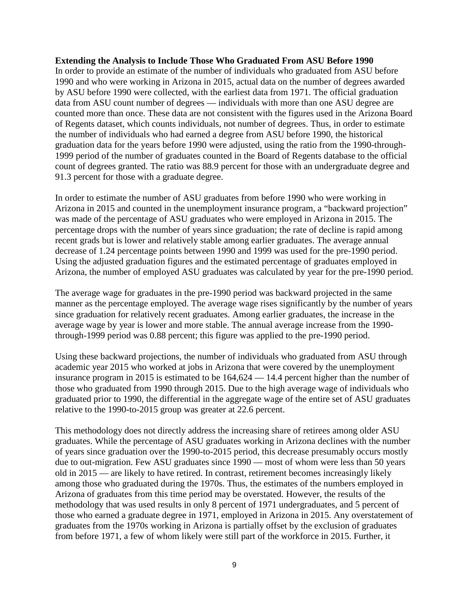#### **Extending the Analysis to Include Those Who Graduated From ASU Before 1990**

In order to provide an estimate of the number of individuals who graduated from ASU before 1990 and who were working in Arizona in 2015, actual data on the number of degrees awarded by ASU before 1990 were collected, with the earliest data from 1971. The official graduation data from ASU count number of degrees — individuals with more than one ASU degree are counted more than once. These data are not consistent with the figures used in the Arizona Board of Regents dataset, which counts individuals, not number of degrees. Thus, in order to estimate the number of individuals who had earned a degree from ASU before 1990, the historical graduation data for the years before 1990 were adjusted, using the ratio from the 1990-through-1999 period of the number of graduates counted in the Board of Regents database to the official count of degrees granted. The ratio was 88.9 percent for those with an undergraduate degree and 91.3 percent for those with a graduate degree.

In order to estimate the number of ASU graduates from before 1990 who were working in Arizona in 2015 and counted in the unemployment insurance program, a "backward projection" was made of the percentage of ASU graduates who were employed in Arizona in 2015. The percentage drops with the number of years since graduation; the rate of decline is rapid among recent grads but is lower and relatively stable among earlier graduates. The average annual decrease of 1.24 percentage points between 1990 and 1999 was used for the pre-1990 period. Using the adjusted graduation figures and the estimated percentage of graduates employed in Arizona, the number of employed ASU graduates was calculated by year for the pre-1990 period.

The average wage for graduates in the pre-1990 period was backward projected in the same manner as the percentage employed. The average wage rises significantly by the number of years since graduation for relatively recent graduates. Among earlier graduates, the increase in the average wage by year is lower and more stable. The annual average increase from the 1990 through-1999 period was 0.88 percent; this figure was applied to the pre-1990 period.

Using these backward projections, the number of individuals who graduated from ASU through academic year 2015 who worked at jobs in Arizona that were covered by the unemployment insurance program in 2015 is estimated to be 164,624 — 14.4 percent higher than the number of those who graduated from 1990 through 2015. Due to the high average wage of individuals who graduated prior to 1990, the differential in the aggregate wage of the entire set of ASU graduates relative to the 1990-to-2015 group was greater at 22.6 percent.

This methodology does not directly address the increasing share of retirees among older ASU graduates. While the percentage of ASU graduates working in Arizona declines with the number of years since graduation over the 1990-to-2015 period, this decrease presumably occurs mostly due to out-migration. Few ASU graduates since 1990 — most of whom were less than 50 years old in 2015 — are likely to have retired. In contrast, retirement becomes increasingly likely among those who graduated during the 1970s. Thus, the estimates of the numbers employed in Arizona of graduates from this time period may be overstated. However, the results of the methodology that was used results in only 8 percent of 1971 undergraduates, and 5 percent of those who earned a graduate degree in 1971, employed in Arizona in 2015. Any overstatement of graduates from the 1970s working in Arizona is partially offset by the exclusion of graduates from before 1971, a few of whom likely were still part of the workforce in 2015. Further, it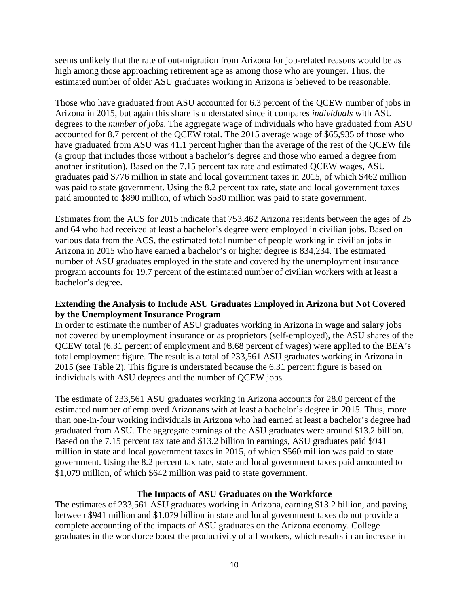seems unlikely that the rate of out-migration from Arizona for job-related reasons would be as high among those approaching retirement age as among those who are younger. Thus, the estimated number of older ASU graduates working in Arizona is believed to be reasonable.

Those who have graduated from ASU accounted for 6.3 percent of the QCEW number of jobs in Arizona in 2015, but again this share is understated since it compares *individuals* with ASU degrees to the *number of jobs*. The aggregate wage of individuals who have graduated from ASU accounted for 8.7 percent of the QCEW total. The 2015 average wage of \$65,935 of those who have graduated from ASU was 41.1 percent higher than the average of the rest of the QCEW file (a group that includes those without a bachelor's degree and those who earned a degree from another institution). Based on the 7.15 percent tax rate and estimated QCEW wages, ASU graduates paid \$776 million in state and local government taxes in 2015, of which \$462 million was paid to state government. Using the 8.2 percent tax rate, state and local government taxes paid amounted to \$890 million, of which \$530 million was paid to state government.

Estimates from the ACS for 2015 indicate that 753,462 Arizona residents between the ages of 25 and 64 who had received at least a bachelor's degree were employed in civilian jobs. Based on various data from the ACS, the estimated total number of people working in civilian jobs in Arizona in 2015 who have earned a bachelor's or higher degree is 834,234. The estimated number of ASU graduates employed in the state and covered by the unemployment insurance program accounts for 19.7 percent of the estimated number of civilian workers with at least a bachelor's degree.

# **Extending the Analysis to Include ASU Graduates Employed in Arizona but Not Covered by the Unemployment Insurance Program**

In order to estimate the number of ASU graduates working in Arizona in wage and salary jobs not covered by unemployment insurance or as proprietors (self-employed), the ASU shares of the QCEW total (6.31 percent of employment and 8.68 percent of wages) were applied to the BEA's total employment figure. The result is a total of 233,561 ASU graduates working in Arizona in 2015 (see Table 2). This figure is understated because the 6.31 percent figure is based on individuals with ASU degrees and the number of QCEW jobs.

The estimate of 233,561 ASU graduates working in Arizona accounts for 28.0 percent of the estimated number of employed Arizonans with at least a bachelor's degree in 2015. Thus, more than one-in-four working individuals in Arizona who had earned at least a bachelor's degree had graduated from ASU. The aggregate earnings of the ASU graduates were around \$13.2 billion. Based on the 7.15 percent tax rate and \$13.2 billion in earnings, ASU graduates paid \$941 million in state and local government taxes in 2015, of which \$560 million was paid to state government. Using the 8.2 percent tax rate, state and local government taxes paid amounted to \$1,079 million, of which \$642 million was paid to state government.

# **The Impacts of ASU Graduates on the Workforce**

The estimates of 233,561 ASU graduates working in Arizona, earning \$13.2 billion, and paying between \$941 million and \$1.079 billion in state and local government taxes do not provide a complete accounting of the impacts of ASU graduates on the Arizona economy. College graduates in the workforce boost the productivity of all workers, which results in an increase in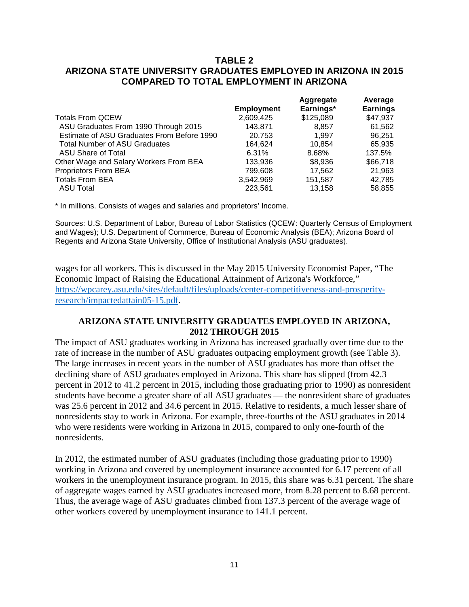# **TABLE 2 ARIZONA STATE UNIVERSITY GRADUATES EMPLOYED IN ARIZONA IN 2015 COMPARED TO TOTAL EMPLOYMENT IN ARIZONA**

|                   | Aggregate | Average         |
|-------------------|-----------|-----------------|
| <b>Employment</b> | Earnings* | <b>Earnings</b> |
| 2,609,425         | \$125,089 | \$47,937        |
| 143.871           | 8,857     | 61,562          |
| 20,753            | 1.997     | 96,251          |
| 164.624           | 10.854    | 65,935          |
| 6.31%             | 8.68%     | 137.5%          |
| 133,936           | \$8,936   | \$66,718        |
| 799.608           | 17,562    | 21,963          |
| 3,542,969         | 151,587   | 42,785          |
| 223.561           | 13.158    | 58.855          |
|                   |           |                 |

\* In millions. Consists of wages and salaries and proprietors' Income.

Sources: U.S. Department of Labor, Bureau of Labor Statistics (QCEW: Quarterly Census of Employment and Wages); U.S. Department of Commerce, Bureau of Economic Analysis (BEA); Arizona Board of Regents and Arizona State University, Office of Institutional Analysis (ASU graduates).

wages for all workers. This is discussed in the May 2015 University Economist Paper, "The Economic Impact of Raising the Educational Attainment of Arizona's Workforce," [https://wpcarey.asu.edu/sites/default/files/uploads/center-competitiveness-and-prosperity](https://wpcarey.asu.edu/sites/default/files/uploads/center-competitiveness-and-prosperity-research/impactedattain05-15.pdf)[research/impactedattain05-15.pdf.](https://wpcarey.asu.edu/sites/default/files/uploads/center-competitiveness-and-prosperity-research/impactedattain05-15.pdf)

# **ARIZONA STATE UNIVERSITY GRADUATES EMPLOYED IN ARIZONA, 2012 THROUGH 2015**

The impact of ASU graduates working in Arizona has increased gradually over time due to the rate of increase in the number of ASU graduates outpacing employment growth (see Table 3). The large increases in recent years in the number of ASU graduates has more than offset the declining share of ASU graduates employed in Arizona. This share has slipped (from 42.3 percent in 2012 to 41.2 percent in 2015, including those graduating prior to 1990) as nonresident students have become a greater share of all ASU graduates — the nonresident share of graduates was 25.6 percent in 2012 and 34.6 percent in 2015. Relative to residents, a much lesser share of nonresidents stay to work in Arizona. For example, three-fourths of the ASU graduates in 2014 who were residents were working in Arizona in 2015, compared to only one-fourth of the nonresidents.

In 2012, the estimated number of ASU graduates (including those graduating prior to 1990) working in Arizona and covered by unemployment insurance accounted for 6.17 percent of all workers in the unemployment insurance program. In 2015, this share was 6.31 percent. The share of aggregate wages earned by ASU graduates increased more, from 8.28 percent to 8.68 percent. Thus, the average wage of ASU graduates climbed from 137.3 percent of the average wage of other workers covered by unemployment insurance to 141.1 percent.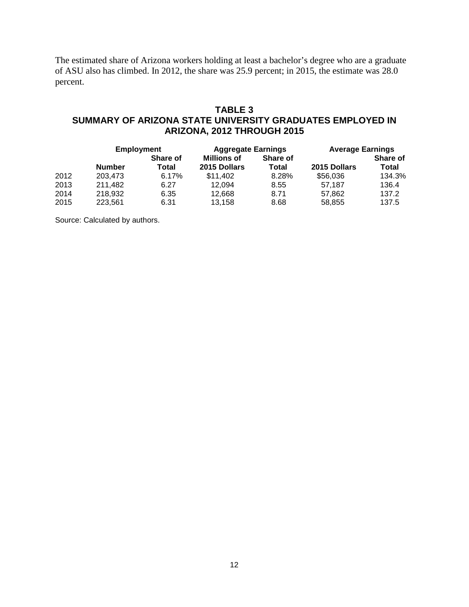The estimated share of Arizona workers holding at least a bachelor's degree who are a graduate of ASU also has climbed. In 2012, the share was 25.9 percent; in 2015, the estimate was 28.0 percent.

# **TABLE 3 SUMMARY OF ARIZONA STATE UNIVERSITY GRADUATES EMPLOYED IN ARIZONA, 2012 THROUGH 2015**

|      |               | <b>Employment</b> |                    | <b>Aggregate Earnings</b> | <b>Average Earnings</b> |                 |  |
|------|---------------|-------------------|--------------------|---------------------------|-------------------------|-----------------|--|
|      |               | <b>Share of</b>   | <b>Millions of</b> | <b>Share of</b>           |                         | <b>Share of</b> |  |
|      | <b>Number</b> | Total             | 2015 Dollars       | Total                     | 2015 Dollars            | Total           |  |
| 2012 | 203.473       | 6.17%             | \$11.402           | 8.28%                     | \$56,036                | 134.3%          |  |
| 2013 | 211,482       | 6.27              | 12.094             | 8.55                      | 57.187                  | 136.4           |  |
| 2014 | 218,932       | 6.35              | 12.668             | 8.71                      | 57.862                  | 137.2           |  |
| 2015 | 223,561       | 6.31              | 13.158             | 8.68                      | 58.855                  | 137.5           |  |

Source: Calculated by authors.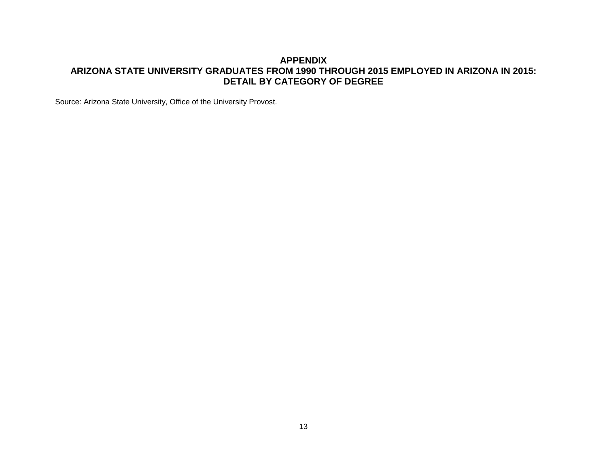# **APPENDIX ARIZONA STATE UNIVERSITY GRADUATES FROM 1990 THROUGH 2015 EMPLOYED IN ARIZONA IN 2015: DETAIL BY CATEGORY OF DEGREE**

Source: Arizona State University, Office of the University Provost.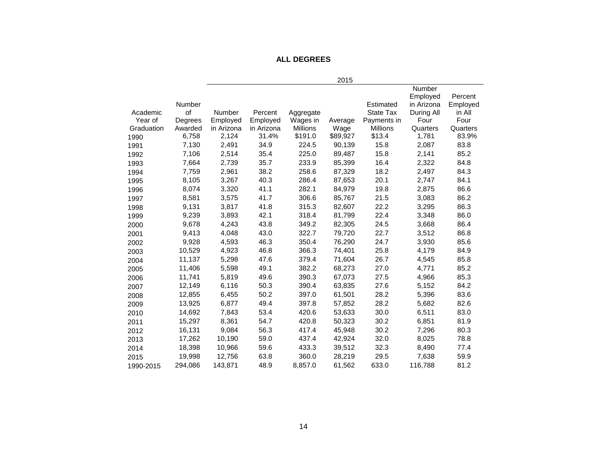# **ALL DEGREES**

|            |         |            |            |                 | 2015     |                  |               |          |
|------------|---------|------------|------------|-----------------|----------|------------------|---------------|----------|
|            |         |            |            |                 |          |                  | <b>Number</b> |          |
|            |         |            |            |                 |          |                  | Employed      | Percent  |
|            | Number  |            |            |                 |          | Estimated        | in Arizona    | Employed |
| Academic   | of      | Number     | Percent    | Aggregate       |          | <b>State Tax</b> | During All    | in All   |
| Year of    | Degrees | Employed   | Employed   | Wages in        | Average  | Payments in      | Four          | Four     |
| Graduation | Awarded | in Arizona | in Arizona | <b>Millions</b> | Wage     | <b>Millions</b>  | Quarters      | Quarters |
| 1990       | 6,758   | 2,124      | 31.4%      | \$191.0         | \$89,927 | \$13.4           | 1,781         | 83.9%    |
| 1991       | 7,130   | 2,491      | 34.9       | 224.5           | 90,139   | 15.8             | 2,087         | 83.8     |
| 1992       | 7,106   | 2,514      | 35.4       | 225.0           | 89,487   | 15.8             | 2,141         | 85.2     |
| 1993       | 7,664   | 2,739      | 35.7       | 233.9           | 85,399   | 16.4             | 2,322         | 84.8     |
| 1994       | 7,759   | 2,961      | 38.2       | 258.6           | 87,329   | 18.2             | 2,497         | 84.3     |
| 1995       | 8,105   | 3,267      | 40.3       | 286.4           | 87,653   | 20.1             | 2,747         | 84.1     |
| 1996       | 8,074   | 3,320      | 41.1       | 282.1           | 84,979   | 19.8             | 2,875         | 86.6     |
| 1997       | 8,581   | 3,575      | 41.7       | 306.6           | 85,767   | 21.5             | 3,083         | 86.2     |
| 1998       | 9,131   | 3,817      | 41.8       | 315.3           | 82,607   | 22.2             | 3,295         | 86.3     |
| 1999       | 9,239   | 3,893      | 42.1       | 318.4           | 81,799   | 22.4             | 3,348         | 86.0     |
| 2000       | 9,678   | 4,243      | 43.8       | 349.2           | 82,305   | 24.5             | 3,668         | 86.4     |
| 2001       | 9,413   | 4,048      | 43.0       | 322.7           | 79,720   | 22.7             | 3,512         | 86.8     |
| 2002       | 9,928   | 4,593      | 46.3       | 350.4           | 76,290   | 24.7             | 3,930         | 85.6     |
| 2003       | 10,529  | 4,923      | 46.8       | 366.3           | 74,401   | 25.8             | 4,179         | 84.9     |
| 2004       | 11,137  | 5,298      | 47.6       | 379.4           | 71,604   | 26.7             | 4,545         | 85.8     |
| 2005       | 11,406  | 5,598      | 49.1       | 382.2           | 68,273   | 27.0             | 4,771         | 85.2     |
| 2006       | 11,741  | 5,819      | 49.6       | 390.3           | 67,073   | 27.5             | 4,966         | 85.3     |
| 2007       | 12,149  | 6,116      | 50.3       | 390.4           | 63,835   | 27.6             | 5,152         | 84.2     |
| 2008       | 12.855  | 6,455      | 50.2       | 397.0           | 61,501   | 28.2             | 5,396         | 83.6     |
| 2009       | 13,925  | 6,877      | 49.4       | 397.8           | 57,852   | 28.2             | 5,682         | 82.6     |
| 2010       | 14,692  | 7,843      | 53.4       | 420.6           | 53,633   | 30.0             | 6,511         | 83.0     |
| 2011       | 15,297  | 8,361      | 54.7       | 420.8           | 50,323   | 30.2             | 6,851         | 81.9     |
| 2012       | 16,131  | 9,084      | 56.3       | 417.4           | 45,948   | 30.2             | 7,296         | 80.3     |
| 2013       | 17,262  | 10,190     | 59.0       | 437.4           | 42,924   | 32.0             | 8,025         | 78.8     |
| 2014       | 18,398  | 10,966     | 59.6       | 433.3           | 39,512   | 32.3             | 8,490         | 77.4     |
| 2015       | 19,998  | 12,756     | 63.8       | 360.0           | 28,219   | 29.5             | 7,638         | 59.9     |
| 1990-2015  | 294,086 | 143,871    | 48.9       | 8,857.0         | 61,562   | 633.0            | 116,788       | 81.2     |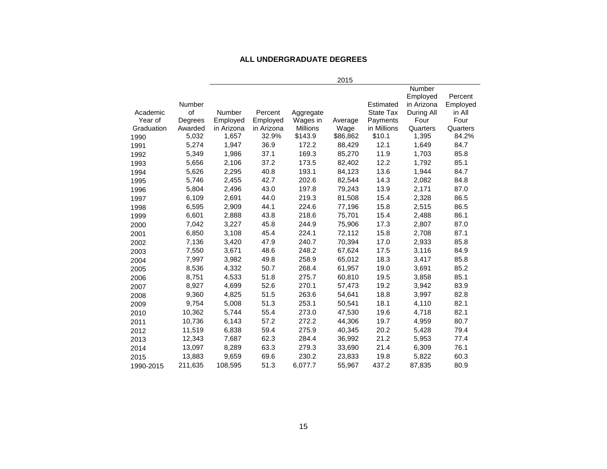#### **ALL UNDERGRADUATE DEGREES**

|            |               |               |            |                 | 2015     |             |                                  |                     |
|------------|---------------|---------------|------------|-----------------|----------|-------------|----------------------------------|---------------------|
|            | <b>Number</b> |               |            |                 |          | Estimated   | Number<br>Employed<br>in Arizona | Percent<br>Employed |
| Academic   | of            | <b>Number</b> | Percent    | Aggregate       |          | State Tax   | During All                       | in All              |
| Year of    | Degrees       | Employed      | Employed   | Wages in        | Average  | Payments    | Four                             | Four                |
| Graduation | Awarded       | in Arizona    | in Arizona | <b>Millions</b> | Wage     | in Millions | Quarters                         | Quarters            |
| 1990       | 5,032         | 1,657         | 32.9%      | \$143.9         | \$86,862 | \$10.1      | 1,395                            | 84.2%               |
| 1991       | 5,274         | 1,947         | 36.9       | 172.2           | 88,429   | 12.1        | 1,649                            | 84.7                |
| 1992       | 5,349         | 1,986         | 37.1       | 169.3           | 85,270   | 11.9        | 1,703                            | 85.8                |
| 1993       | 5,656         | 2,106         | 37.2       | 173.5           | 82,402   | 12.2        | 1,792                            | 85.1                |
| 1994       | 5,626         | 2,295         | 40.8       | 193.1           | 84,123   | 13.6        | 1,944                            | 84.7                |
| 1995       | 5,746         | 2,455         | 42.7       | 202.6           | 82,544   | 14.3        | 2,082                            | 84.8                |
| 1996       | 5,804         | 2,496         | 43.0       | 197.8           | 79,243   | 13.9        | 2,171                            | 87.0                |
| 1997       | 6,109         | 2,691         | 44.0       | 219.3           | 81,508   | 15.4        | 2,328                            | 86.5                |
| 1998       | 6,595         | 2,909         | 44.1       | 224.6           | 77,196   | 15.8        | 2,515                            | 86.5                |
| 1999       | 6,601         | 2,888         | 43.8       | 218.6           | 75,701   | 15.4        | 2,488                            | 86.1                |
| 2000       | 7,042         | 3,227         | 45.8       | 244.9           | 75,906   | 17.3        | 2,807                            | 87.0                |
| 2001       | 6,850         | 3,108         | 45.4       | 224.1           | 72,112   | 15.8        | 2,708                            | 87.1                |
| 2002       | 7,136         | 3,420         | 47.9       | 240.7           | 70,394   | 17.0        | 2,933                            | 85.8                |
| 2003       | 7,550         | 3,671         | 48.6       | 248.2           | 67,624   | 17.5        | 3,116                            | 84.9                |
| 2004       | 7,997         | 3,982         | 49.8       | 258.9           | 65,012   | 18.3        | 3,417                            | 85.8                |
| 2005       | 8,536         | 4,332         | 50.7       | 268.4           | 61,957   | 19.0        | 3,691                            | 85.2                |
| 2006       | 8,751         | 4,533         | 51.8       | 275.7           | 60,810   | 19.5        | 3,858                            | 85.1                |
| 2007       | 8,927         | 4,699         | 52.6       | 270.1           | 57,473   | 19.2        | 3,942                            | 83.9                |
| 2008       | 9,360         | 4,825         | 51.5       | 263.6           | 54,641   | 18.8        | 3,997                            | 82.8                |
| 2009       | 9,754         | 5,008         | 51.3       | 253.1           | 50,541   | 18.1        | 4,110                            | 82.1                |
| 2010       | 10,362        | 5,744         | 55.4       | 273.0           | 47,530   | 19.6        | 4,718                            | 82.1                |
| 2011       | 10,736        | 6,143         | 57.2       | 272.2           | 44,306   | 19.7        | 4,959                            | 80.7                |
| 2012       | 11,519        | 6,838         | 59.4       | 275.9           | 40,345   | 20.2        | 5,428                            | 79.4                |
| 2013       | 12,343        | 7,687         | 62.3       | 284.4           | 36,992   | 21.2        | 5,953                            | 77.4                |
| 2014       | 13,097        | 8,289         | 63.3       | 279.3           | 33,690   | 21.4        | 6,309                            | 76.1                |
| 2015       | 13,883        | 9,659         | 69.6       | 230.2           | 23,833   | 19.8        | 5,822                            | 60.3                |
| 1990-2015  | 211,635       | 108,595       | 51.3       | 6,077.7         | 55,967   | 437.2       | 87,835                           | 80.9                |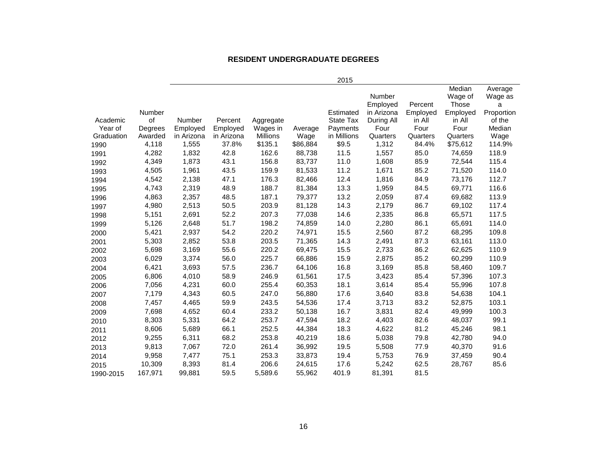#### **RESIDENT UNDERGRADUATE DEGREES**

|            |         |            |            |                 |          |                  |               |          | Median   | Average    |
|------------|---------|------------|------------|-----------------|----------|------------------|---------------|----------|----------|------------|
|            |         |            |            |                 |          |                  | <b>Number</b> |          | Wage of  | Wage as    |
|            |         |            |            |                 |          |                  | Employed      | Percent  | Those    | a          |
|            | Number  |            |            |                 |          | Estimated        | in Arizona    | Employed | Employed | Proportion |
| Academic   | of      | Number     | Percent    | Aggregate       |          | <b>State Tax</b> | During All    | in All   | in All   | of the     |
| Year of    | Degrees | Employed   | Employed   | Wages in        | Average  | Payments         | Four          | Four     | Four     | Median     |
| Graduation | Awarded | in Arizona | in Arizona | <b>Millions</b> | Wage     | in Millions      | Quarters      | Quarters | Quarters | Wage       |
| 1990       | 4,118   | 1,555      | 37.8%      | \$135.1         | \$86,884 | \$9.5            | 1,312         | 84.4%    | \$75,612 | 114.9%     |
| 1991       | 4,282   | 1,832      | 42.8       | 162.6           | 88,738   | 11.5             | 1,557         | 85.0     | 74,659   | 118.9      |
| 1992       | 4,349   | 1,873      | 43.1       | 156.8           | 83,737   | 11.0             | 1,608         | 85.9     | 72,544   | 115.4      |
| 1993       | 4,505   | 1,961      | 43.5       | 159.9           | 81,533   | 11.2             | 1,671         | 85.2     | 71,520   | 114.0      |
| 1994       | 4,542   | 2,138      | 47.1       | 176.3           | 82,466   | 12.4             | 1,816         | 84.9     | 73,176   | 112.7      |
| 1995       | 4,743   | 2,319      | 48.9       | 188.7           | 81,384   | 13.3             | 1,959         | 84.5     | 69,771   | 116.6      |
| 1996       | 4,863   | 2,357      | 48.5       | 187.1           | 79,377   | 13.2             | 2,059         | 87.4     | 69,682   | 113.9      |
| 1997       | 4,980   | 2,513      | 50.5       | 203.9           | 81,128   | 14.3             | 2,179         | 86.7     | 69,102   | 117.4      |
| 1998       | 5,151   | 2,691      | 52.2       | 207.3           | 77,038   | 14.6             | 2,335         | 86.8     | 65,571   | 117.5      |
| 1999       | 5,126   | 2,648      | 51.7       | 198.2           | 74,859   | 14.0             | 2,280         | 86.1     | 65,691   | 114.0      |
| 2000       | 5,421   | 2,937      | 54.2       | 220.2           | 74,971   | 15.5             | 2,560         | 87.2     | 68,295   | 109.8      |
| 2001       | 5,303   | 2,852      | 53.8       | 203.5           | 71,365   | 14.3             | 2,491         | 87.3     | 63,161   | 113.0      |
| 2002       | 5,698   | 3,169      | 55.6       | 220.2           | 69,475   | 15.5             | 2,733         | 86.2     | 62,625   | 110.9      |
| 2003       | 6,029   | 3,374      | 56.0       | 225.7           | 66,886   | 15.9             | 2,875         | 85.2     | 60,299   | 110.9      |
| 2004       | 6,421   | 3,693      | 57.5       | 236.7           | 64,106   | 16.8             | 3,169         | 85.8     | 58,460   | 109.7      |
| 2005       | 6,806   | 4,010      | 58.9       | 246.9           | 61,561   | 17.5             | 3,423         | 85.4     | 57,396   | 107.3      |
| 2006       | 7,056   | 4,231      | 60.0       | 255.4           | 60,353   | 18.1             | 3,614         | 85.4     | 55,996   | 107.8      |
| 2007       | 7,179   | 4,343      | 60.5       | 247.0           | 56,880   | 17.6             | 3,640         | 83.8     | 54,638   | 104.1      |
| 2008       | 7,457   | 4,465      | 59.9       | 243.5           | 54,536   | 17.4             | 3,713         | 83.2     | 52,875   | 103.1      |
| 2009       | 7,698   | 4,652      | 60.4       | 233.2           | 50,138   | 16.7             | 3,831         | 82.4     | 49,999   | 100.3      |
| 2010       | 8,303   | 5,331      | 64.2       | 253.7           | 47,594   | 18.2             | 4,403         | 82.6     | 48,037   | 99.1       |
| 2011       | 8,606   | 5,689      | 66.1       | 252.5           | 44,384   | 18.3             | 4,622         | 81.2     | 45,246   | 98.1       |
| 2012       | 9,255   | 6,311      | 68.2       | 253.8           | 40,219   | 18.6             | 5,038         | 79.8     | 42,780   | 94.0       |
| 2013       | 9,813   | 7,067      | 72.0       | 261.4           | 36,992   | 19.5             | 5,508         | 77.9     | 40,370   | 91.6       |
| 2014       | 9,958   | 7,477      | 75.1       | 253.3           | 33,873   | 19.4             | 5,753         | 76.9     | 37,459   | 90.4       |
| 2015       | 10,309  | 8,393      | 81.4       | 206.6           | 24,615   | 17.6             | 5,242         | 62.5     | 28,767   | 85.6       |
| 1990-2015  | 167,971 | 99,881     | 59.5       | 5,589.6         | 55,962   | 401.9            | 81,391        | 81.5     |          |            |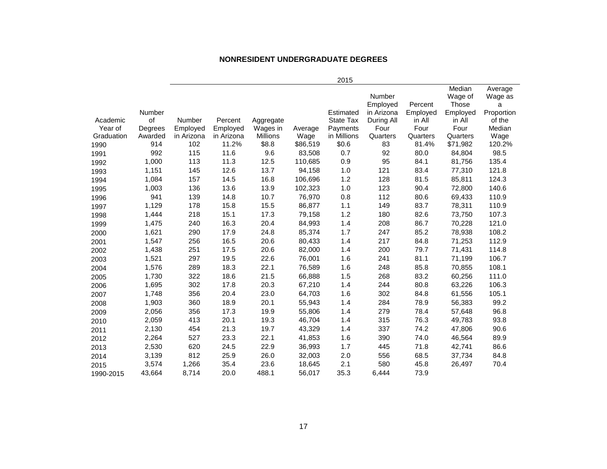#### **NONRESIDENT UNDERGRADUATE DEGREES**

| 2015 |  |
|------|--|

|            |         |            |            |                 |          |                  |               |          | Median   | Average    |
|------------|---------|------------|------------|-----------------|----------|------------------|---------------|----------|----------|------------|
|            |         |            |            |                 |          |                  | <b>Number</b> |          | Wage of  | Wage as    |
|            |         |            |            |                 |          |                  | Employed      | Percent  | Those    | a          |
|            | Number  |            |            |                 |          | Estimated        | in Arizona    | Employed | Employed | Proportion |
| Academic   | of      | Number     | Percent    | Aggregate       |          | <b>State Tax</b> | During All    | in All   | in All   | of the     |
| Year of    | Degrees | Employed   | Employed   | Wages in        | Average  | Payments         | Four          | Four     | Four     | Median     |
| Graduation | Awarded | in Arizona | in Arizona | <b>Millions</b> | Wage     | in Millions      | Quarters      | Quarters | Quarters | Wage       |
| 1990       | 914     | 102        | 11.2%      | \$8.8           | \$86,519 | \$0.6            | 83            | 81.4%    | \$71,982 | 120.2%     |
| 1991       | 992     | 115        | 11.6       | 9.6             | 83,508   | 0.7              | 92            | 80.0     | 84,804   | 98.5       |
| 1992       | 1,000   | 113        | 11.3       | 12.5            | 110,685  | 0.9              | 95            | 84.1     | 81,756   | 135.4      |
| 1993       | 1,151   | 145        | 12.6       | 13.7            | 94,158   | 1.0              | 121           | 83.4     | 77,310   | 121.8      |
| 1994       | 1,084   | 157        | 14.5       | 16.8            | 106,696  | 1.2              | 128           | 81.5     | 85,811   | 124.3      |
| 1995       | 1,003   | 136        | 13.6       | 13.9            | 102,323  | 1.0              | 123           | 90.4     | 72,800   | 140.6      |
| 1996       | 941     | 139        | 14.8       | 10.7            | 76,970   | 0.8              | 112           | 80.6     | 69,433   | 110.9      |
| 1997       | 1,129   | 178        | 15.8       | 15.5            | 86,877   | 1.1              | 149           | 83.7     | 78,311   | 110.9      |
| 1998       | 1,444   | 218        | 15.1       | 17.3            | 79,158   | 1.2              | 180           | 82.6     | 73,750   | 107.3      |
| 1999       | 1,475   | 240        | 16.3       | 20.4            | 84,993   | 1.4              | 208           | 86.7     | 70,228   | 121.0      |
| 2000       | 1,621   | 290        | 17.9       | 24.8            | 85,374   | 1.7              | 247           | 85.2     | 78,938   | 108.2      |
| 2001       | 1,547   | 256        | 16.5       | 20.6            | 80,433   | 1.4              | 217           | 84.8     | 71,253   | 112.9      |
| 2002       | 1,438   | 251        | 17.5       | 20.6            | 82,000   | 1.4              | 200           | 79.7     | 71,431   | 114.8      |
| 2003       | 1,521   | 297        | 19.5       | 22.6            | 76,001   | 1.6              | 241           | 81.1     | 71,199   | 106.7      |
| 2004       | 1,576   | 289        | 18.3       | 22.1            | 76,589   | 1.6              | 248           | 85.8     | 70,855   | 108.1      |
| 2005       | 1,730   | 322        | 18.6       | 21.5            | 66,888   | 1.5              | 268           | 83.2     | 60,256   | 111.0      |
| 2006       | 1,695   | 302        | 17.8       | 20.3            | 67,210   | 1.4              | 244           | 80.8     | 63,226   | 106.3      |
| 2007       | 1,748   | 356        | 20.4       | 23.0            | 64,703   | 1.6              | 302           | 84.8     | 61,556   | 105.1      |
| 2008       | 1,903   | 360        | 18.9       | 20.1            | 55,943   | 1.4              | 284           | 78.9     | 56,383   | 99.2       |
| 2009       | 2,056   | 356        | 17.3       | 19.9            | 55,806   | 1.4              | 279           | 78.4     | 57,648   | 96.8       |
| 2010       | 2,059   | 413        | 20.1       | 19.3            | 46,704   | 1.4              | 315           | 76.3     | 49,783   | 93.8       |
| 2011       | 2,130   | 454        | 21.3       | 19.7            | 43,329   | 1.4              | 337           | 74.2     | 47,806   | 90.6       |
| 2012       | 2,264   | 527        | 23.3       | 22.1            | 41,853   | 1.6              | 390           | 74.0     | 46,564   | 89.9       |
| 2013       | 2,530   | 620        | 24.5       | 22.9            | 36,993   | 1.7              | 445           | 71.8     | 42,741   | 86.6       |
| 2014       | 3,139   | 812        | 25.9       | 26.0            | 32,003   | 2.0              | 556           | 68.5     | 37,734   | 84.8       |
| 2015       | 3,574   | 1,266      | 35.4       | 23.6            | 18,645   | 2.1              | 580           | 45.8     | 26,497   | 70.4       |
| 1990-2015  | 43,664  | 8,714      | 20.0       | 488.1           | 56,017   | 35.3             | 6,444         | 73.9     |          |            |
|            |         |            |            |                 |          |                  |               |          |          |            |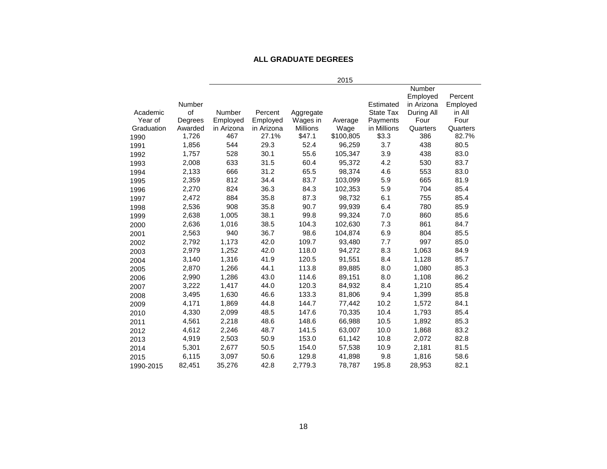#### **ALL GRADUATE DEGREES**

|            |         |            |            |                 | 2015      |                  |                                         |                     |
|------------|---------|------------|------------|-----------------|-----------|------------------|-----------------------------------------|---------------------|
|            | Number  |            |            |                 |           | Estimated        | <b>Number</b><br>Employed<br>in Arizona | Percent<br>Employed |
| Academic   | of      | Number     | Percent    | Aggregate       |           | <b>State Tax</b> | During All                              | in All              |
| Year of    | Degrees | Employed   | Employed   | Wages in        | Average   | Payments         | Four                                    | Four                |
| Graduation | Awarded | in Arizona | in Arizona | <b>Millions</b> | Wage      | in Millions      | Quarters                                | Quarters            |
| 1990       | 1,726   | 467        | 27.1%      | \$47.1          | \$100,805 | \$3.3            | 386                                     | 82.7%               |
| 1991       | 1,856   | 544        | 29.3       | 52.4            | 96,259    | 3.7              | 438                                     | 80.5                |
| 1992       | 1,757   | 528        | 30.1       | 55.6            | 105,347   | 3.9              | 438                                     | 83.0                |
| 1993       | 2,008   | 633        | 31.5       | 60.4            | 95,372    | 4.2              | 530                                     | 83.7                |
| 1994       | 2,133   | 666        | 31.2       | 65.5            | 98,374    | 4.6              | 553                                     | 83.0                |
| 1995       | 2,359   | 812        | 34.4       | 83.7            | 103,099   | 5.9              | 665                                     | 81.9                |
| 1996       | 2,270   | 824        | 36.3       | 84.3            | 102,353   | 5.9              | 704                                     | 85.4                |
| 1997       | 2,472   | 884        | 35.8       | 87.3            | 98,732    | 6.1              | 755                                     | 85.4                |
| 1998       | 2,536   | 908        | 35.8       | 90.7            | 99,939    | 6.4              | 780                                     | 85.9                |
| 1999       | 2,638   | 1,005      | 38.1       | 99.8            | 99,324    | 7.0              | 860                                     | 85.6                |
| 2000       | 2,636   | 1,016      | 38.5       | 104.3           | 102,630   | 7.3              | 861                                     | 84.7                |
| 2001       | 2,563   | 940        | 36.7       | 98.6            | 104,874   | 6.9              | 804                                     | 85.5                |
| 2002       | 2,792   | 1,173      | 42.0       | 109.7           | 93,480    | 7.7              | 997                                     | 85.0                |
| 2003       | 2,979   | 1,252      | 42.0       | 118.0           | 94,272    | 8.3              | 1,063                                   | 84.9                |
| 2004       | 3,140   | 1,316      | 41.9       | 120.5           | 91,551    | 8.4              | 1,128                                   | 85.7                |
| 2005       | 2,870   | 1,266      | 44.1       | 113.8           | 89,885    | 8.0              | 1,080                                   | 85.3                |
| 2006       | 2,990   | 1,286      | 43.0       | 114.6           | 89,151    | 8.0              | 1,108                                   | 86.2                |
| 2007       | 3,222   | 1,417      | 44.0       | 120.3           | 84,932    | 8.4              | 1,210                                   | 85.4                |
| 2008       | 3,495   | 1,630      | 46.6       | 133.3           | 81,806    | 9.4              | 1,399                                   | 85.8                |
| 2009       | 4,171   | 1,869      | 44.8       | 144.7           | 77,442    | 10.2             | 1,572                                   | 84.1                |
| 2010       | 4,330   | 2,099      | 48.5       | 147.6           | 70,335    | 10.4             | 1,793                                   | 85.4                |
| 2011       | 4,561   | 2,218      | 48.6       | 148.6           | 66,988    | 10.5             | 1,892                                   | 85.3                |
| 2012       | 4,612   | 2,246      | 48.7       | 141.5           | 63,007    | 10.0             | 1,868                                   | 83.2                |
| 2013       | 4,919   | 2,503      | 50.9       | 153.0           | 61,142    | 10.8             | 2,072                                   | 82.8                |
| 2014       | 5,301   | 2,677      | 50.5       | 154.0           | 57,538    | 10.9             | 2,181                                   | 81.5                |
| 2015       | 6,115   | 3,097      | 50.6       | 129.8           | 41,898    | 9.8              | 1,816                                   | 58.6                |
| 1990-2015  | 82,451  | 35,276     | 42.8       | 2,779.3         | 78,787    | 195.8            | 28,953                                  | 82.1                |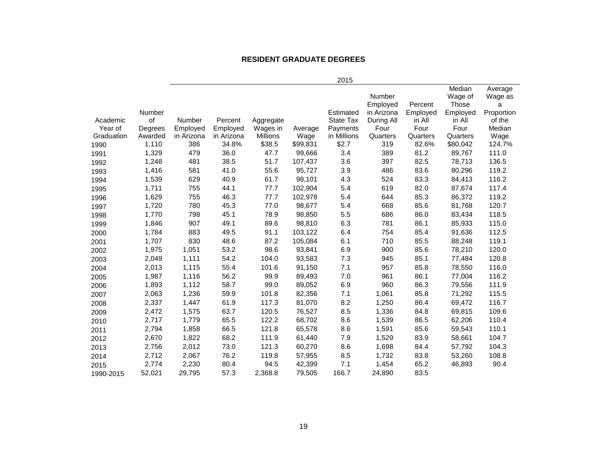#### **RESIDENT GRADUATE DEGREES**

|                       |                    |                        |                        |                      |                  | 2015                    |                 |                  |                   |                    |
|-----------------------|--------------------|------------------------|------------------------|----------------------|------------------|-------------------------|-----------------|------------------|-------------------|--------------------|
|                       |                    |                        |                        |                      |                  |                         | Number          |                  | Median<br>Wage of | Average<br>Wage as |
|                       |                    |                        |                        |                      |                  |                         | Employed        | Percent          | Those             | a                  |
|                       | Number             |                        |                        |                      |                  | Estimated               | in Arizona      | Employed         | Employed          | Proportion         |
| Academic              | of                 | Number                 | Percent                | Aggregate            |                  | <b>State Tax</b>        | During All      | in All           | in All            | of the             |
| Year of<br>Graduation | Degrees<br>Awarded | Employed<br>in Arizona | Employed<br>in Arizona | Wages in<br>Millions | Average          | Payments<br>in Millions | Four            | Four<br>Quarters | Four<br>Quarters  | Median<br>Wage     |
| 1990                  | 1,110              | 386                    | 34.8%                  | \$38.5               | Wage<br>\$99,831 | \$2.7                   | Quarters<br>319 | 82.6%            | \$80,042          | 124.7%             |
| 1991                  | 1,329              | 479                    | 36.0                   | 47.7                 | 99,666           | 3.4                     | 389             | 81.2             | 89,767            | 111.0              |
| 1992                  | 1,248              | 481                    | 38.5                   | 51.7                 | 107,437          | 3.6                     | 397             | 82.5             | 78,713            | 136.5              |
| 1993                  | 1,416              | 581                    | 41.0                   | 55.6                 | 95,727           | 3.9                     | 486             | 83.6             | 80,296            | 119.2              |
| 1994                  | 1,539              | 629                    | 40.9                   | 61.7                 | 98,101           | 4.3                     | 524             | 83.3             | 84,413            | 116.2              |
| 1995                  | 1,711              | 755                    | 44.1                   | 77.7                 | 102,904          | 5.4                     | 619             | 82.0             | 87,674            | 117.4              |
| 1996                  | 1,629              | 755                    | 46.3                   | 77.7                 | 102,978          | 5.4                     | 644             | 85.3             | 86,372            | 119.2              |
| 1997                  | 1,720              | 780                    | 45.3                   | 77.0                 | 98,677           | 5.4                     | 668             | 85.6             | 81,768            | 120.7              |
| 1998                  | 1,770              | 798                    | 45.1                   | 78.9                 | 98,850           | 5.5                     | 686             | 86.0             | 83,434            | 118.5              |
| 1999                  | 1,846              | 907                    | 49.1                   | 89.6                 | 98,810           | 6.3                     | 781             | 86.1             | 85,933            | 115.0              |
| 2000                  | 1,784              | 883                    | 49.5                   | 91.1                 | 103,122          | 6.4                     | 754             | 85.4             | 91,636            | 112.5              |
| 2001                  | 1,707              | 830                    | 48.6                   | 87.2                 | 105,084          | 6.1                     | 710             | 85.5             | 88,248            | 119.1              |
| 2002                  | 1,975              | 1,051                  | 53.2                   | 98.6                 | 93,841           | 6.9                     | 900             | 85.6             | 78,210            | 120.0              |
| 2003                  | 2,049              | 1,111                  | 54.2                   | 104.0                | 93,583           | 7.3                     | 945             | 85.1             | 77,484            | 120.8              |
| 2004                  | 2,013              | 1,115                  | 55.4                   | 101.6                | 91,150           | 7.1                     | 957             | 85.8             | 78,550            | 116.0              |
| 2005                  | 1,987              | 1,116                  | 56.2                   | 99.9                 | 89,493           | 7.0                     | 961             | 86.1             | 77,004            | 116.2              |
| 2006                  | 1,893              | 1,112                  | 58.7                   | 99.0                 | 89,052           | 6.9                     | 960             | 86.3             | 79,556            | 111.9              |
| 2007                  | 2,063              | 1,236                  | 59.9                   | 101.8                | 82,356           | 7.1                     | 1,061           | 85.8             | 71,292            | 115.5              |
| 2008                  | 2,337              | 1,447                  | 61.9                   | 117.3                | 81,070           | 8.2                     | 1,250           | 86.4             | 69,472            | 116.7              |
| 2009                  | 2,472              | 1,575                  | 63.7                   | 120.5                | 76,527           | 8.5                     | 1,336           | 84.8             | 69,815            | 109.6              |
| 2010                  | 2,717              | 1,779                  | 65.5                   | 122.2                | 68,702           | 8.6                     | 1,539           | 86.5             | 62,206            | 110.4              |
| 2011                  | 2,794              | 1,858                  | 66.5                   | 121.8                | 65,578           | 8.6                     | 1,591           | 85.6             | 59,543            | 110.1              |
| 2012                  | 2,670              | 1,822                  | 68.2                   | 111.9                | 61,440           | 7.9                     | 1,529           | 83.9             | 58,661            | 104.7              |
| 2013                  | 2,756              | 2,012                  | 73.0                   | 121.3                | 60,270           | 8.6                     | 1,698           | 84.4             | 57,792            | 104.3              |
| 2014                  | 2,712              | 2,067                  | 76.2                   | 119.8                | 57,955           | 8.5                     | 1,732           | 83.8             | 53,260            | 108.8              |
| 2015                  | 2,774              | 2,230                  | 80.4                   | 94.5                 | 42,399           | 7.1                     | 1,454           | 65.2             | 46,893            | 90.4               |

1990-2015 52,021 29,795 57.3 2,368.8 79,505 166.7 24,890 83.5